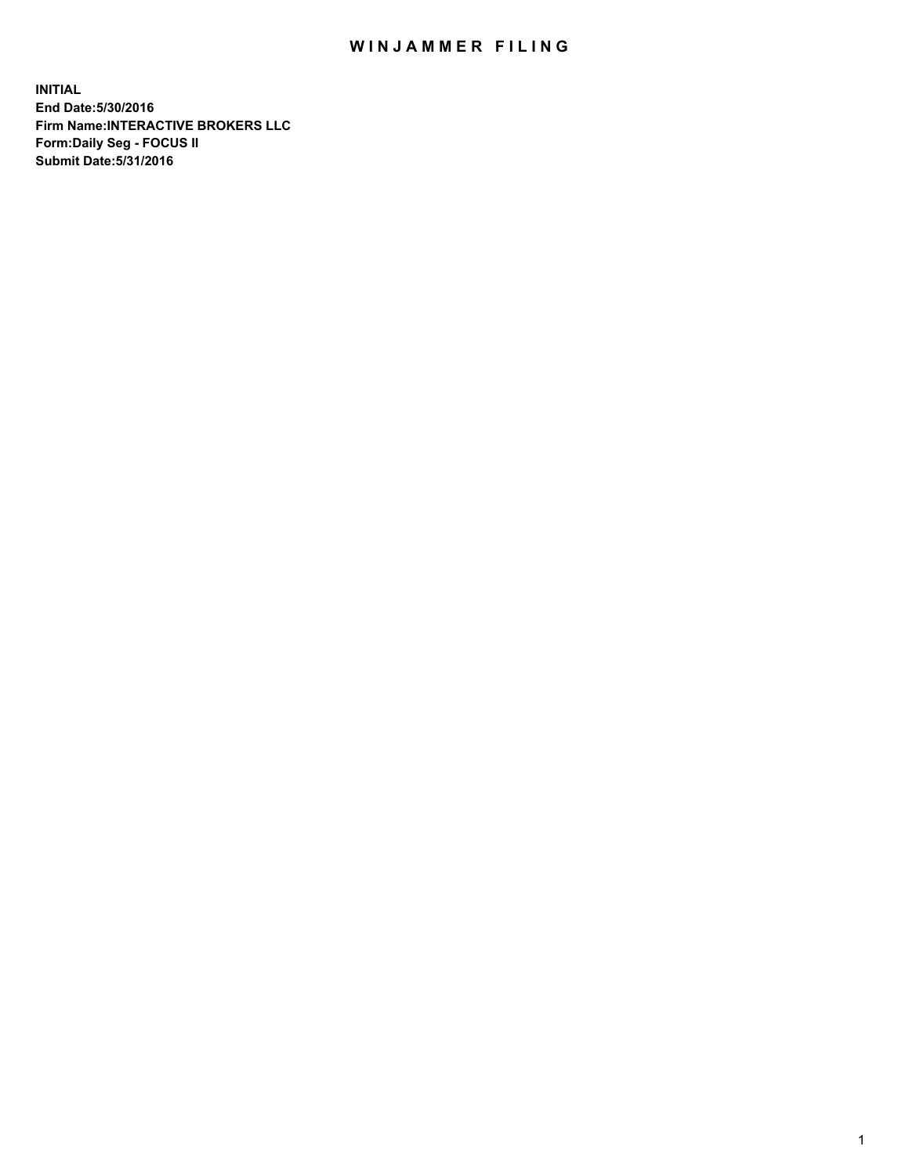## WIN JAMMER FILING

**INITIAL End Date:5/30/2016 Firm Name:INTERACTIVE BROKERS LLC Form:Daily Seg - FOCUS II Submit Date:5/31/2016**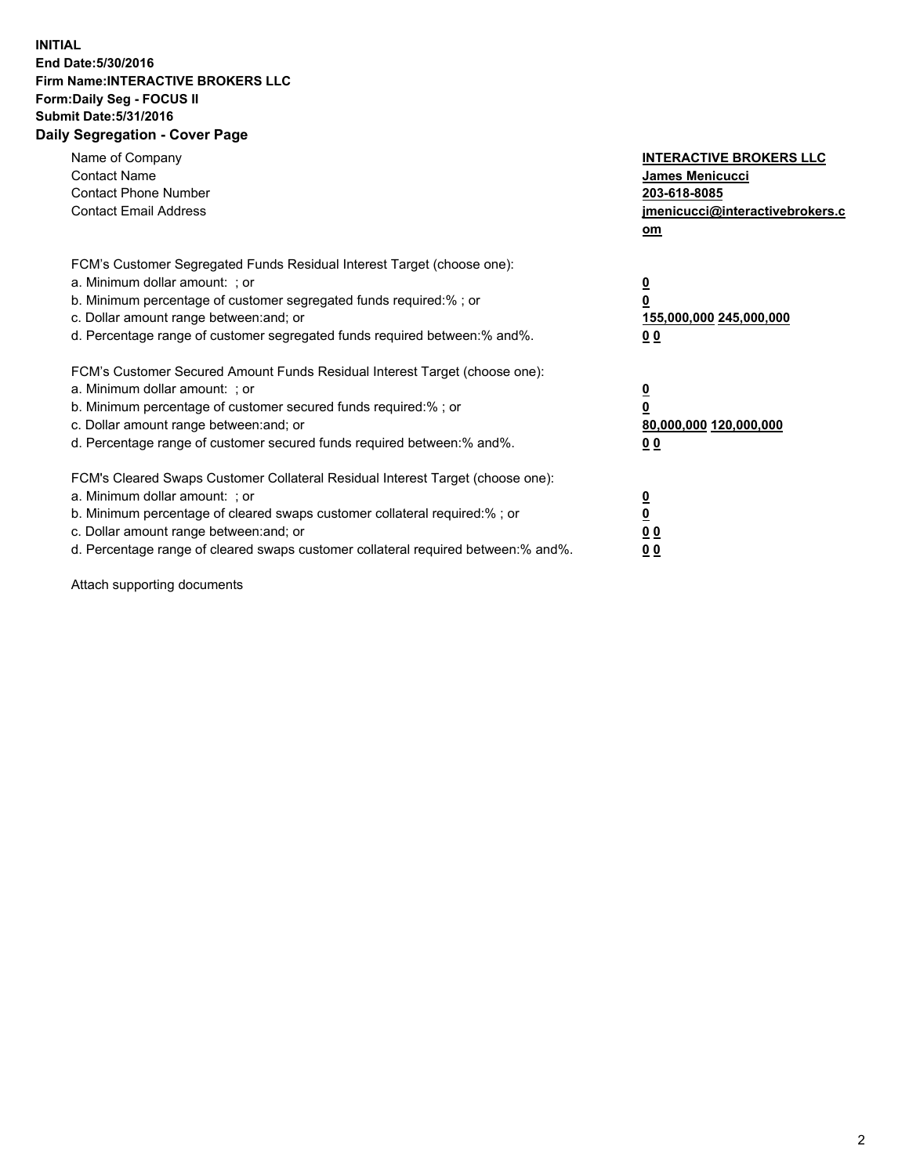## **INITIAL End Date:5/30/2016 Firm Name:INTERACTIVE BROKERS LLC Form:Daily Seg - FOCUS II Submit Date:5/31/2016 Daily Segregation - Cover Page**

| Name of Company<br><b>Contact Name</b><br><b>Contact Phone Number</b><br><b>Contact Email Address</b>                                                                                                                                                                                                                          | <b>INTERACTIVE BROKERS LLC</b><br>James Menicucci<br>203-618-8085<br>jmenicucci@interactivebrokers.c<br>om |
|--------------------------------------------------------------------------------------------------------------------------------------------------------------------------------------------------------------------------------------------------------------------------------------------------------------------------------|------------------------------------------------------------------------------------------------------------|
| FCM's Customer Segregated Funds Residual Interest Target (choose one):<br>a. Minimum dollar amount: ; or<br>b. Minimum percentage of customer segregated funds required:%; or<br>c. Dollar amount range between: and; or<br>d. Percentage range of customer segregated funds required between:% and%.                          | $\overline{\mathbf{0}}$<br>0<br>155,000,000 245,000,000<br>0 <sub>0</sub>                                  |
| FCM's Customer Secured Amount Funds Residual Interest Target (choose one):<br>a. Minimum dollar amount: ; or<br>b. Minimum percentage of customer secured funds required:%; or<br>c. Dollar amount range between: and; or<br>d. Percentage range of customer secured funds required between:% and%.                            | $\overline{\mathbf{0}}$<br>$\overline{\mathbf{0}}$<br>80,000,000 120,000,000<br>00                         |
| FCM's Cleared Swaps Customer Collateral Residual Interest Target (choose one):<br>a. Minimum dollar amount: ; or<br>b. Minimum percentage of cleared swaps customer collateral required:% ; or<br>c. Dollar amount range between: and; or<br>d. Percentage range of cleared swaps customer collateral required between:% and%. | $\overline{\mathbf{0}}$<br>$\overline{\mathbf{0}}$<br>0 <sub>0</sub><br><u>00</u>                          |

Attach supporting documents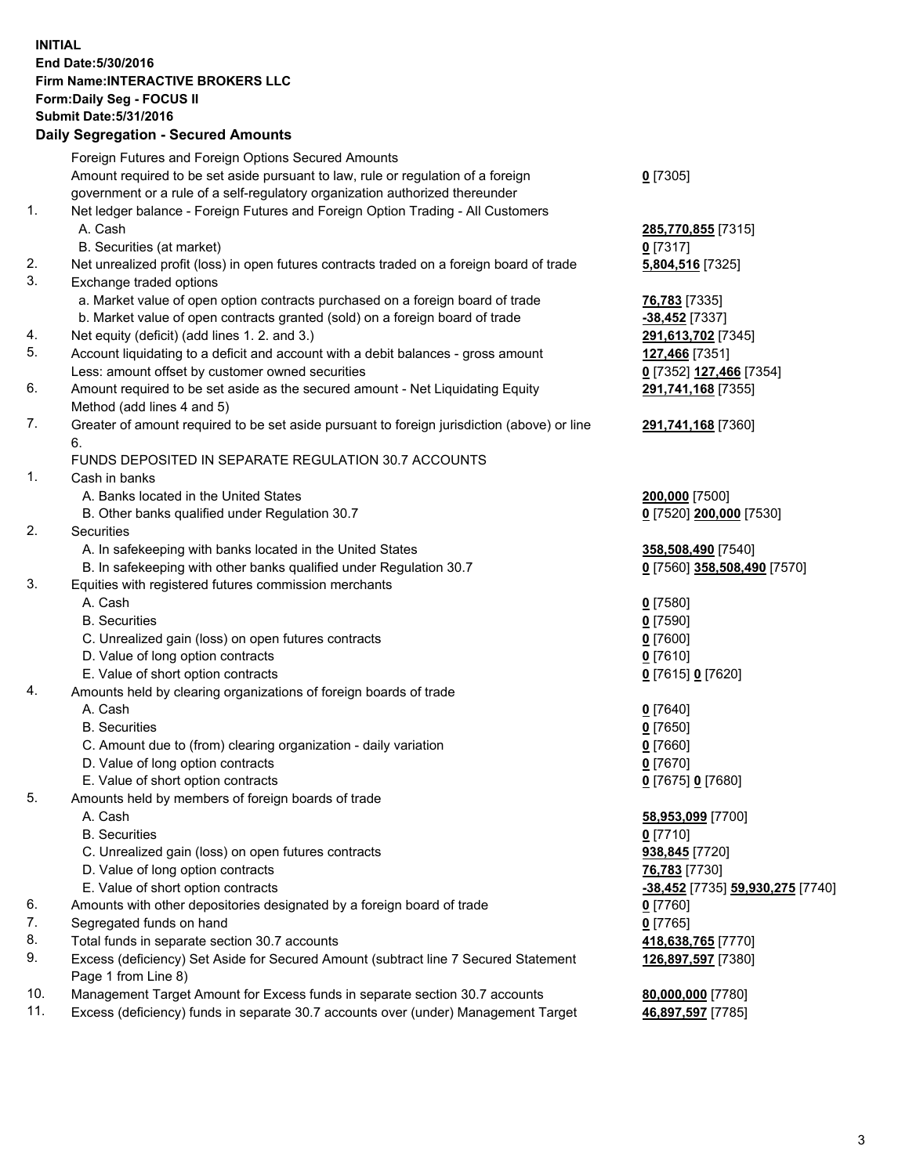## **INITIAL End Date:5/30/2016 Firm Name:INTERACTIVE BROKERS LLC Form:Daily Seg - FOCUS II Submit Date:5/31/2016 Daily Segregation - Secured Amounts**

|     | Daily Ocglegation - Occuled Amounts                                                                        |                                  |
|-----|------------------------------------------------------------------------------------------------------------|----------------------------------|
|     | Foreign Futures and Foreign Options Secured Amounts                                                        |                                  |
|     | Amount required to be set aside pursuant to law, rule or regulation of a foreign                           | $0$ [7305]                       |
|     | government or a rule of a self-regulatory organization authorized thereunder                               |                                  |
| 1.  | Net ledger balance - Foreign Futures and Foreign Option Trading - All Customers                            |                                  |
|     | A. Cash                                                                                                    | 285,770,855 [7315]               |
|     | B. Securities (at market)                                                                                  | $0$ [7317]                       |
| 2.  | Net unrealized profit (loss) in open futures contracts traded on a foreign board of trade                  | 5,804,516 [7325]                 |
| 3.  | Exchange traded options                                                                                    |                                  |
|     | a. Market value of open option contracts purchased on a foreign board of trade                             | <b>76,783</b> [7335]             |
|     | b. Market value of open contracts granted (sold) on a foreign board of trade                               | $-38,452$ [7337]                 |
| 4.  | Net equity (deficit) (add lines 1. 2. and 3.)                                                              | 291,613,702 [7345]               |
| 5.  | Account liquidating to a deficit and account with a debit balances - gross amount                          | 127,466 [7351]                   |
|     | Less: amount offset by customer owned securities                                                           | 0 [7352] 127,466 [7354]          |
| 6.  | Amount required to be set aside as the secured amount - Net Liquidating Equity                             | 291,741,168 [7355]               |
|     | Method (add lines 4 and 5)                                                                                 |                                  |
| 7.  | Greater of amount required to be set aside pursuant to foreign jurisdiction (above) or line                | 291,741,168 [7360]               |
|     | 6.                                                                                                         |                                  |
|     | FUNDS DEPOSITED IN SEPARATE REGULATION 30.7 ACCOUNTS                                                       |                                  |
| 1.  | Cash in banks                                                                                              |                                  |
|     | A. Banks located in the United States                                                                      | 200,000 [7500]                   |
|     | B. Other banks qualified under Regulation 30.7                                                             | 0 [7520] 200,000 [7530]          |
| 2.  | Securities                                                                                                 |                                  |
|     | A. In safekeeping with banks located in the United States                                                  | 358,508,490 [7540]               |
|     | B. In safekeeping with other banks qualified under Regulation 30.7                                         | 0 [7560] 358,508,490 [7570]      |
| 3.  | Equities with registered futures commission merchants                                                      |                                  |
|     | A. Cash                                                                                                    | $0$ [7580]                       |
|     | <b>B.</b> Securities                                                                                       | $0$ [7590]                       |
|     | C. Unrealized gain (loss) on open futures contracts                                                        | $0$ [7600]                       |
|     | D. Value of long option contracts                                                                          | $0$ [7610]                       |
|     | E. Value of short option contracts                                                                         | 0 [7615] 0 [7620]                |
| 4.  | Amounts held by clearing organizations of foreign boards of trade                                          |                                  |
|     | A. Cash                                                                                                    | $0$ [7640]                       |
|     | <b>B.</b> Securities                                                                                       | $0$ [7650]                       |
|     | C. Amount due to (from) clearing organization - daily variation                                            | $0$ [7660]                       |
|     | D. Value of long option contracts                                                                          | $0$ [7670]                       |
|     | E. Value of short option contracts                                                                         | 0 [7675] 0 [7680]                |
| 5.  | Amounts held by members of foreign boards of trade                                                         |                                  |
|     | A. Cash                                                                                                    | 58,953,099 [7700]                |
|     | <b>B.</b> Securities                                                                                       | $0$ [7710]                       |
|     | C. Unrealized gain (loss) on open futures contracts                                                        | 938,845 [7720]                   |
|     | D. Value of long option contracts                                                                          | 76,783 [7730]                    |
|     | E. Value of short option contracts                                                                         | -38,452 [7735] 59,930,275 [7740] |
| 6.  | Amounts with other depositories designated by a foreign board of trade                                     | 0 [7760]                         |
| 7.  | Segregated funds on hand                                                                                   | $0$ [7765]                       |
| 8.  | Total funds in separate section 30.7 accounts                                                              | 418,638,765 [7770]               |
| 9.  | Excess (deficiency) Set Aside for Secured Amount (subtract line 7 Secured Statement<br>Page 1 from Line 8) | 126,897,597 [7380]               |
| 10. | Management Target Amount for Excess funds in separate section 30.7 accounts                                | 80,000,000 [7780]                |
| 11. | Excess (deficiency) funds in separate 30.7 accounts over (under) Management Target                         | 46,897,597 [7785]                |
|     |                                                                                                            |                                  |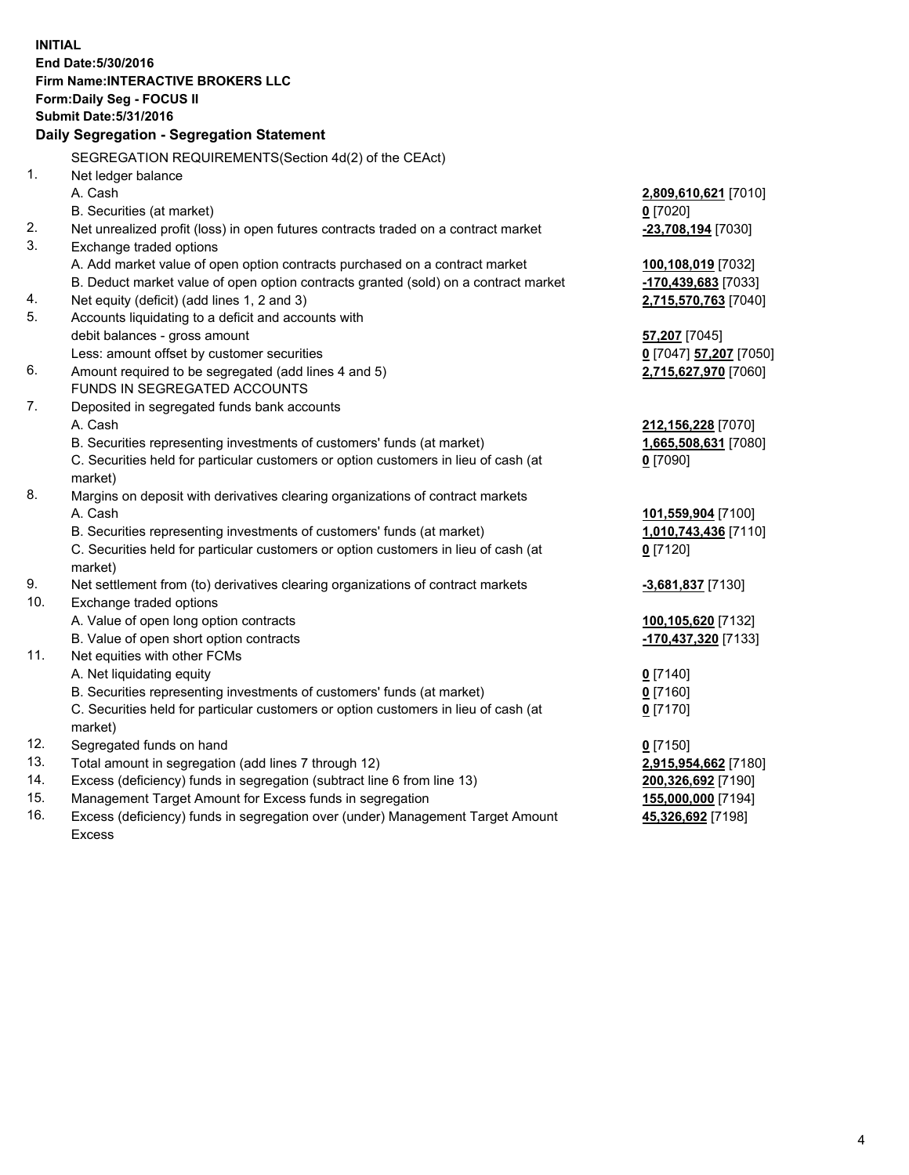**INITIAL End Date:5/30/2016 Firm Name:INTERACTIVE BROKERS LLC Form:Daily Seg - FOCUS II Submit Date:5/31/2016 Daily Segregation - Segregation Statement** SEGREGATION REQUIREMENTS(Section 4d(2) of the CEAct) 1. Net ledger balance A. Cash **2,809,610,621** [7010] B. Securities (at market) **0** [7020] 2. Net unrealized profit (loss) in open futures contracts traded on a contract market **-23,708,194** [7030] 3. Exchange traded options A. Add market value of open option contracts purchased on a contract market **100,108,019** [7032] B. Deduct market value of open option contracts granted (sold) on a contract market **-170,439,683** [7033] 4. Net equity (deficit) (add lines 1, 2 and 3) **2,715,570,763** [7040] 5. Accounts liquidating to a deficit and accounts with debit balances - gross amount **57,207** [7045] Less: amount offset by customer securities **0** [7047] **57,207** [7050] 6. Amount required to be segregated (add lines 4 and 5) **2,715,627,970** [7060] FUNDS IN SEGREGATED ACCOUNTS 7. Deposited in segregated funds bank accounts A. Cash **212,156,228** [7070] B. Securities representing investments of customers' funds (at market) **1,665,508,631** [7080] C. Securities held for particular customers or option customers in lieu of cash (at market) **0** [7090] 8. Margins on deposit with derivatives clearing organizations of contract markets A. Cash **101,559,904** [7100] B. Securities representing investments of customers' funds (at market) **1,010,743,436** [7110] C. Securities held for particular customers or option customers in lieu of cash (at market) **0** [7120] 9. Net settlement from (to) derivatives clearing organizations of contract markets **-3,681,837** [7130] 10. Exchange traded options A. Value of open long option contracts **100,105,620** [7132] B. Value of open short option contracts **-170,437,320** [7133] 11. Net equities with other FCMs A. Net liquidating equity **0** [7140] B. Securities representing investments of customers' funds (at market) **0** [7160] C. Securities held for particular customers or option customers in lieu of cash (at market) **0** [7170] 12. Segregated funds on hand **0** [7150] 13. Total amount in segregation (add lines 7 through 12) **2,915,954,662** [7180] 14. Excess (deficiency) funds in segregation (subtract line 6 from line 13) **200,326,692** [7190] 15. Management Target Amount for Excess funds in segregation **155,000,000** [7194] **45,326,692** [7198]

16. Excess (deficiency) funds in segregation over (under) Management Target Amount Excess